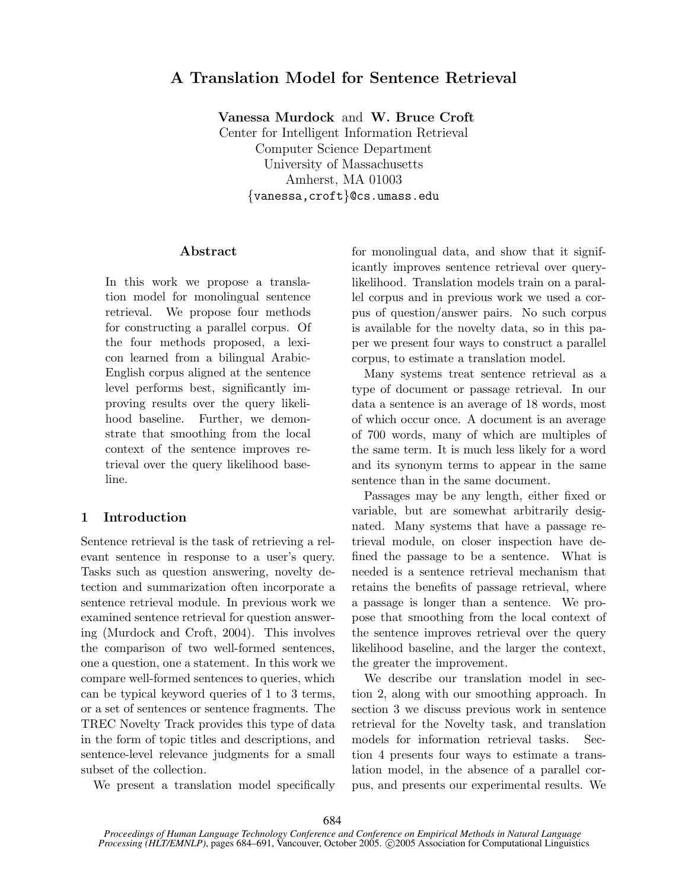# A Translation Model for Sentence Retrieval

Vanessa Murdock and W. Bruce Croft

Center for Intelligent Information Retrieval Computer Science Department University of Massachusetts Amherst, MA 01003 {vanessa,croft}@cs.umass.edu

### Abstract

In this work we propose a translation model for monolingual sentence retrieval. We propose four methods for constructing a parallel corpus. Of the four methods proposed, a lexicon learned from a bilingual Arabic-English corpus aligned at the sentence level performs best, significantly improving results over the query likelihood baseline. Further, we demonstrate that smoothing from the local context of the sentence improves retrieval over the query likelihood baseline.

# 1 Introduction

Sentence retrieval is the task of retrieving a relevant sentence in response to a user's query. Tasks such as question answering, novelty detection and summarization often incorporate a sentence retrieval module. In previous work we examined sentence retrieval for question answering (Murdock and Croft, 2004). This involves the comparison of two well-formed sentences, one a question, one a statement. In this work we compare well-formed sentences to queries, which can be typical keyword queries of 1 to 3 terms, or a set of sentences or sentence fragments. The TREC Novelty Track provides this type of data in the form of topic titles and descriptions, and sentence-level relevance judgments for a small subset of the collection.

We present a translation model specifically

for monolingual data, and show that it significantly improves sentence retrieval over querylikelihood. Translation models train on a parallel corpus and in previous work we used a corpus of question/answer pairs. No such corpus is available for the novelty data, so in this paper we present four ways to construct a parallel corpus, to estimate a translation model.

Many systems treat sentence retrieval as a type of document or passage retrieval. In our data a sentence is an average of 18 words, most of which occur once. A document is an average of 700 words, many of which are multiples of the same term. It is much less likely for a word and its synonym terms to appear in the same sentence than in the same document.

Passages may be any length, either fixed or variable, but are somewhat arbitrarily designated. Many systems that have a passage retrieval module, on closer inspection have defined the passage to be a sentence. What is needed is a sentence retrieval mechanism that retains the benefits of passage retrieval, where a passage is longer than a sentence. We propose that smoothing from the local context of the sentence improves retrieval over the query likelihood baseline, and the larger the context, the greater the improvement.

We describe our translation model in section 2, along with our smoothing approach. In section 3 we discuss previous work in sentence retrieval for the Novelty task, and translation models for information retrieval tasks. Section 4 presents four ways to estimate a translation model, in the absence of a parallel corpus, and presents our experimental results. We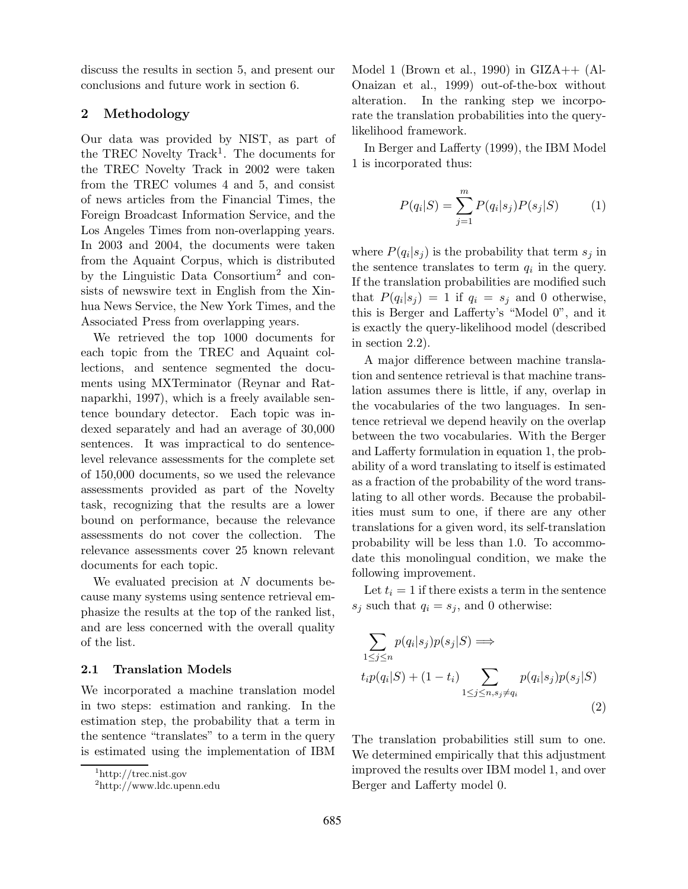discuss the results in section 5, and present our conclusions and future work in section 6.

# 2 Methodology

Our data was provided by NIST, as part of the TREC Novelty Track 1 . The documents for the TREC Novelty Track in 2002 were taken from the TREC volumes 4 and 5, and consist of news articles from the Financial Times, the Foreign Broadcast Information Service, and the Los Angeles Times from non-overlapping years. In 2003 and 2004, the documents were taken from the Aquaint Corpus, which is distributed by the Linguistic Data Consortium<sup>2</sup> and consists of newswire text in English from the Xinhua News Service, the New York Times, and the Associated Press from overlapping years.

We retrieved the top 1000 documents for each topic from the TREC and Aquaint collections, and sentence segmented the documents using MXTerminator (Reynar and Ratnaparkhi, 1997), which is a freely available sentence boundary detector. Each topic was indexed separately and had an average of 30,000 sentences. It was impractical to do sentencelevel relevance assessments for the complete set of 150,000 documents, so we used the relevance assessments provided as part of the Novelty task, recognizing that the results are a lower bound on performance, because the relevance assessments do not cover the collection. The relevance assessments cover 25 known relevant documents for each topic.

We evaluated precision at N documents because many systems using sentence retrieval emphasize the results at the top of the ranked list, and are less concerned with the overall quality of the list.

#### 2.1 Translation Models

We incorporated a machine translation model in two steps: estimation and ranking. In the estimation step, the probability that a term in the sentence "translates" to a term in the query is estimated using the implementation of IBM Model 1 (Brown et al., 1990) in  $\text{GIZA++ (Al-}$ Onaizan et al., 1999) out-of-the-box without alteration. In the ranking step we incorporate the translation probabilities into the querylikelihood framework.

In Berger and Lafferty (1999), the IBM Model 1 is incorporated thus:

$$
P(q_i|S) = \sum_{j=1}^{m} P(q_i|s_j)P(s_j|S)
$$
 (1)

where  $P(q_i|s_j)$  is the probability that term  $s_j$  in the sentence translates to term  $q_i$  in the query. If the translation probabilities are modified such that  $P(q_i|s_j) = 1$  if  $q_i = s_j$  and 0 otherwise, this is Berger and Lafferty's "Model 0", and it is exactly the query-likelihood model (described in section 2.2).

A major difference between machine translation and sentence retrieval is that machine translation assumes there is little, if any, overlap in the vocabularies of the two languages. In sentence retrieval we depend heavily on the overlap between the two vocabularies. With the Berger and Lafferty formulation in equation 1, the probability of a word translating to itself is estimated as a fraction of the probability of the word translating to all other words. Because the probabilities must sum to one, if there are any other translations for a given word, its self-translation probability will be less than 1.0. To accommodate this monolingual condition, we make the following improvement.

Let  $t_i = 1$  if there exists a term in the sentence  $s_i$  such that  $q_i = s_j$ , and 0 otherwise:

$$
\sum_{1 \le j \le n} p(q_i|s_j)p(s_j|S) \Longrightarrow
$$
  

$$
t_i p(q_i|S) + (1-t_i) \sum_{1 \le j \le n, s_j \ne q_i} p(q_i|s_j)p(s_j|S)
$$
  
(2)

The translation probabilities still sum to one. We determined empirically that this adjustment improved the results over IBM model 1, and over Berger and Lafferty model 0.

<sup>1</sup>http://trec.nist.gov

<sup>2</sup>http://www.ldc.upenn.edu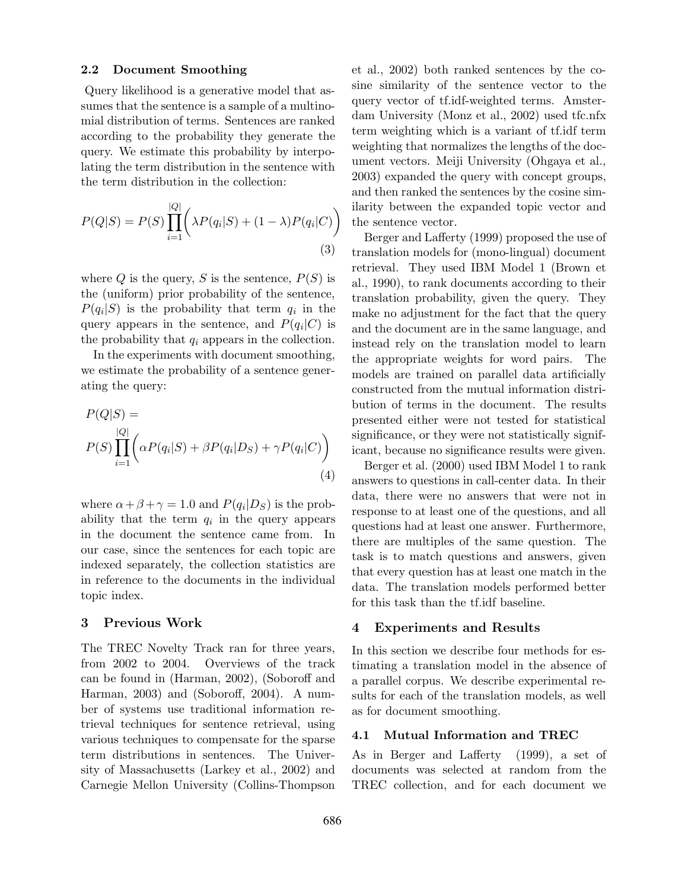#### 2.2 Document Smoothing

Query likelihood is a generative model that assumes that the sentence is a sample of a multinomial distribution of terms. Sentences are ranked according to the probability they generate the query. We estimate this probability by interpolating the term distribution in the sentence with the term distribution in the collection:

$$
P(Q|S) = P(S) \prod_{i=1}^{|Q|} \left( \lambda P(q_i|S) + (1 - \lambda)P(q_i|C) \right)
$$
\n(3)

where  $Q$  is the query,  $S$  is the sentence,  $P(S)$  is the (uniform) prior probability of the sentence,  $P(q_i|S)$  is the probability that term  $q_i$  in the query appears in the sentence, and  $P(q_i|C)$  is the probability that  $q_i$  appears in the collection.

In the experiments with document smoothing, we estimate the probability of a sentence generating the query:

$$
P(Q|S) =
$$
  
\n
$$
P(S) \prod_{i=1}^{|Q|} \left( \alpha P(q_i|S) + \beta P(q_i|D_S) + \gamma P(q_i|C) \right)
$$
  
\n(4)

where  $\alpha + \beta + \gamma = 1.0$  and  $P(q_i|D_S)$  is the probability that the term  $q_i$  in the query appears in the document the sentence came from. In our case, since the sentences for each topic are indexed separately, the collection statistics are in reference to the documents in the individual topic index.

# 3 Previous Work

The TREC Novelty Track ran for three years, from 2002 to 2004. Overviews of the track can be found in (Harman, 2002), (Soboroff and Harman, 2003) and (Soboroff, 2004). A number of systems use traditional information retrieval techniques for sentence retrieval, using various techniques to compensate for the sparse term distributions in sentences. The University of Massachusetts (Larkey et al., 2002) and Carnegie Mellon University (Collins-Thompson

et al., 2002) both ranked sentences by the cosine similarity of the sentence vector to the query vector of tf.idf-weighted terms. Amsterdam University (Monz et al., 2002) used tfc.nfx term weighting which is a variant of tf.idf term weighting that normalizes the lengths of the document vectors. Meiji University (Ohgaya et al., 2003) expanded the query with concept groups, and then ranked the sentences by the cosine similarity between the expanded topic vector and the sentence vector.

Berger and Lafferty (1999) proposed the use of translation models for (mono-lingual) document retrieval. They used IBM Model 1 (Brown et al., 1990), to rank documents according to their translation probability, given the query. They make no adjustment for the fact that the query and the document are in the same language, and instead rely on the translation model to learn the appropriate weights for word pairs. The models are trained on parallel data artificially constructed from the mutual information distribution of terms in the document. The results presented either were not tested for statistical significance, or they were not statistically significant, because no significance results were given.

Berger et al. (2000) used IBM Model 1 to rank answers to questions in call-center data. In their data, there were no answers that were not in response to at least one of the questions, and all questions had at least one answer. Furthermore, there are multiples of the same question. The task is to match questions and answers, given that every question has at least one match in the data. The translation models performed better for this task than the tf.idf baseline.

### 4 Experiments and Results

In this section we describe four methods for estimating a translation model in the absence of a parallel corpus. We describe experimental results for each of the translation models, as well as for document smoothing.

### 4.1 Mutual Information and TREC

As in Berger and Lafferty (1999), a set of documents was selected at random from the TREC collection, and for each document we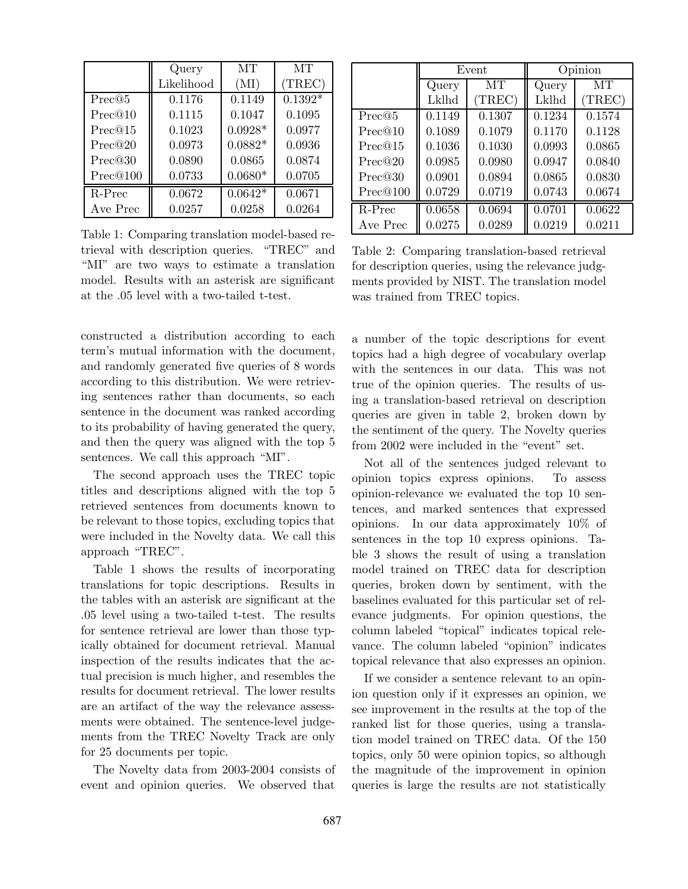|          | Query      | MТ        | MТ        |
|----------|------------|-----------|-----------|
|          | Likelihood | (MI)      | (TREC)    |
| Prec@5   | 0.1176     | 0.1149    | $0.1392*$ |
| Prec@10  | 0.1115     | 0.1047    | 0.1095    |
| Prec@15  | 0.1023     | $0.0928*$ | 0.0977    |
| Prec@20  | 0.0973     | $0.0882*$ | 0.0936    |
| Prec@30  | 0.0890     | 0.0865    | 0.0874    |
| Prec@100 | 0.0733     | $0.0680*$ | 0.0705    |
| R-Prec   | 0.0672     | $0.0642*$ | 0.0671    |
| Ave Prec | 0.0257     | 0.0258    | 0.0264    |

Table 1: Comparing translation model-based retrieval with description queries. "TREC" and "MI" are two ways to estimate a translation model. Results with an asterisk are significant at the .05 level with a two-tailed t-test.

constructed a distribution according to each term's mutual information with the document, and randomly generated five queries of 8 words according to this distribution. We were retrieving sentences rather than documents, so each sentence in the document was ranked according to its probability of having generated the query, and then the query was aligned with the top 5 sentences. We call this approach "MI".

The second approach uses the TREC topic titles and descriptions aligned with the top 5 retrieved sentences from documents known to be relevant to those topics, excluding topics that were included in the Novelty data. We call this approach "TREC".

Table 1 shows the results of incorporating translations for topic descriptions. Results in the tables with an asterisk are significant at the .05 level using a two-tailed t-test. The results for sentence retrieval are lower than those typically obtained for document retrieval. Manual inspection of the results indicates that the actual precision is much higher, and resembles the results for document retrieval. The lower results are an artifact of the way the relevance assessments were obtained. The sentence-level judgements from the TREC Novelty Track are only for 25 documents per topic.

The Novelty data from 2003-2004 consists of event and opinion queries. We observed that

|          | Event  |        | Opinion |        |
|----------|--------|--------|---------|--------|
|          | Query  | MТ     | Query   | MТ     |
|          | Lklhd  | (TREC) | Lklhd   | (TREC) |
| Prec@5   | 0.1149 | 0.1307 | 0.1234  | 0.1574 |
| Prec@10  | 0.1089 | 0.1079 | 0.1170  | 0.1128 |
| Prec@15  | 0.1036 | 0.1030 | 0.0993  | 0.0865 |
| Prec@20  | 0.0985 | 0.0980 | 0.0947  | 0.0840 |
| Prec@30  | 0.0901 | 0.0894 | 0.0865  | 0.0830 |
| Prec@100 | 0.0729 | 0.0719 | 0.0743  | 0.0674 |
| R-Prec   | 0.0658 | 0.0694 | 0.0701  | 0.0622 |
| Ave Prec | 0.0275 | 0.0289 | 0.0219  | 0.0211 |

Table 2: Comparing translation-based retrieval for description queries, using the relevance judgments provided by NIST. The translation model was trained from TREC topics.

a number of the topic descriptions for event topics had a high degree of vocabulary overlap with the sentences in our data. This was not true of the opinion queries. The results of using a translation-based retrieval on description queries are given in table 2, broken down by the sentiment of the query. The Novelty queries from 2002 were included in the "event" set.

Not all of the sentences judged relevant to opinion topics express opinions. To assess opinion-relevance we evaluated the top 10 sentences, and marked sentences that expressed opinions. In our data approximately 10% of sentences in the top 10 express opinions. Table 3 shows the result of using a translation model trained on TREC data for description queries, broken down by sentiment, with the baselines evaluated for this particular set of relevance judgments. For opinion questions, the column labeled "topical" indicates topical relevance. The column labeled "opinion" indicates topical relevance that also expresses an opinion.

If we consider a sentence relevant to an opinion question only if it expresses an opinion, we see improvement in the results at the top of the ranked list for those queries, using a translation model trained on TREC data. Of the 150 topics, only 50 were opinion topics, so although the magnitude of the improvement in opinion queries is large the results are not statistically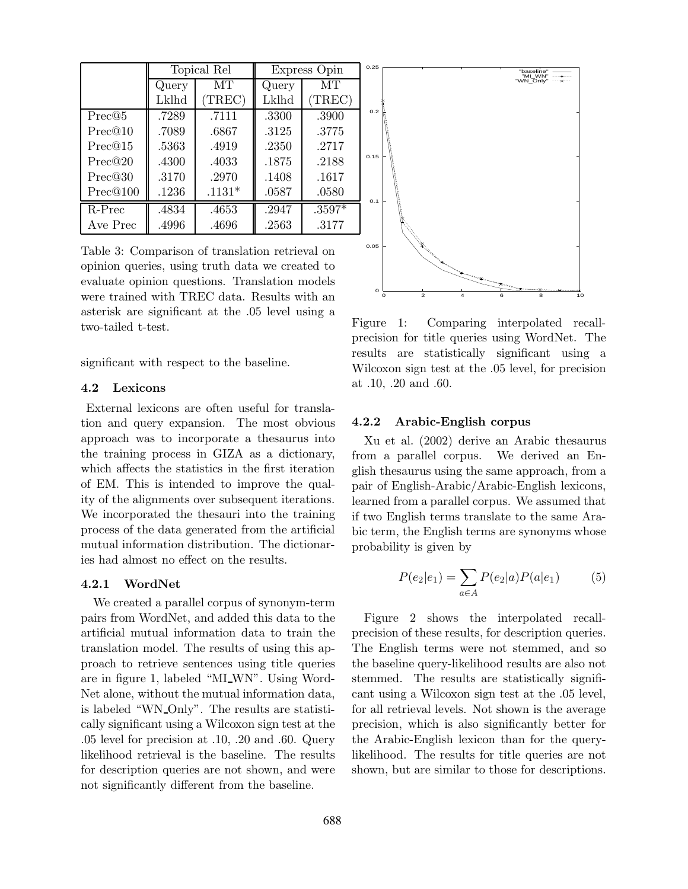|          | Topical Rel |          | Express Opin |          |
|----------|-------------|----------|--------------|----------|
|          | Query       | MТ       | Query        | MТ       |
|          | Lklhd       | TREC)    | Lklhd        | (TREC)   |
| Prec@5   | .7289       | .7111    | .3300        | .3900    |
| Prec@10  | .7089       | .6867    | .3125        | .3775    |
| Prec@15  | .5363       | .4919    | .2350        | .2717    |
| Prec@20  | .4300       | .4033    | .1875        | .2188    |
| Prec@30  | .3170       | .2970    | .1408        | .1617    |
| Prec@100 | .1236       | $.1131*$ | .0587        | .0580    |
| R-Prec   | .4834       | .4653    | .2947        | $.3597*$ |
| Ave Prec | .4996       | .4696    | .2563        | .3177    |

Table 3: Comparison of translation retrieval on opinion queries, using truth data we created to evaluate opinion questions. Translation models were trained with TREC data. Results with an asterisk are significant at the .05 level using a two-tailed t-test.

significant with respect to the baseline.

# 4.2 Lexicons

External lexicons are often useful for translation and query expansion. The most obvious approach was to incorporate a thesaurus into the training process in GIZA as a dictionary, which affects the statistics in the first iteration of EM. This is intended to improve the quality of the alignments over subsequent iterations. We incorporated the thesauri into the training process of the data generated from the artificial mutual information distribution. The dictionaries had almost no effect on the results.

#### 4.2.1 WordNet

We created a parallel corpus of synonym-term pairs from WordNet, and added this data to the artificial mutual information data to train the translation model. The results of using this approach to retrieve sentences using title queries are in figure 1, labeled "MI WN". Using Word-Net alone, without the mutual information data, is labeled "WN Only". The results are statistically significant using a Wilcoxon sign test at the .05 level for precision at .10, .20 and .60. Query likelihood retrieval is the baseline. The results for description queries are not shown, and were not significantly different from the baseline.



Figure 1: Comparing interpolated recallprecision for title queries using WordNet. The results are statistically significant using a Wilcoxon sign test at the .05 level, for precision at .10, .20 and .60.

#### 4.2.2 Arabic-English corpus

Xu et al. (2002) derive an Arabic thesaurus from a parallel corpus. We derived an English thesaurus using the same approach, from a pair of English-Arabic/Arabic-English lexicons, learned from a parallel corpus. We assumed that if two English terms translate to the same Arabic term, the English terms are synonyms whose probability is given by

$$
P(e_2|e_1) = \sum_{a \in A} P(e_2|a)P(a|e_1)
$$
 (5)

Figure 2 shows the interpolated recallprecision of these results, for description queries. The English terms were not stemmed, and so the baseline query-likelihood results are also not stemmed. The results are statistically significant using a Wilcoxon sign test at the .05 level, for all retrieval levels. Not shown is the average precision, which is also significantly better for the Arabic-English lexicon than for the querylikelihood. The results for title queries are not shown, but are similar to those for descriptions.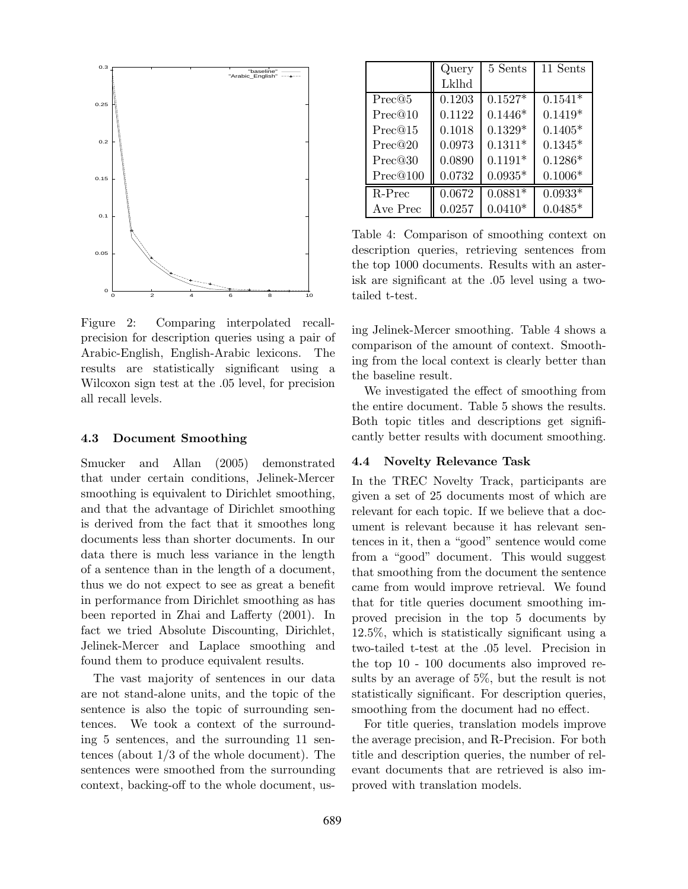

Figure 2: Comparing interpolated recallprecision for description queries using a pair of Arabic-English, English-Arabic lexicons. The results are statistically significant using a Wilcoxon sign test at the .05 level, for precision all recall levels.

#### 4.3 Document Smoothing

Smucker and Allan (2005) demonstrated that under certain conditions, Jelinek-Mercer smoothing is equivalent to Dirichlet smoothing, and that the advantage of Dirichlet smoothing is derived from the fact that it smoothes long documents less than shorter documents. In our data there is much less variance in the length of a sentence than in the length of a document, thus we do not expect to see as great a benefit in performance from Dirichlet smoothing as has been reported in Zhai and Lafferty (2001). In fact we tried Absolute Discounting, Dirichlet, Jelinek-Mercer and Laplace smoothing and found them to produce equivalent results.

The vast majority of sentences in our data are not stand-alone units, and the topic of the sentence is also the topic of surrounding sentences. We took a context of the surrounding 5 sentences, and the surrounding 11 sentences (about 1/3 of the whole document). The sentences were smoothed from the surrounding context, backing-off to the whole document, us-

|          | Query  | 5 Sents   | 11 Sents  |
|----------|--------|-----------|-----------|
|          | Lklhd  |           |           |
| Prec@5   | 0.1203 | $0.1527*$ | $0.1541*$ |
| Prec@10  | 0.1122 | $0.1446*$ | $0.1419*$ |
| Prec@15  | 0.1018 | $0.1329*$ | $0.1405*$ |
| Prec@20  | 0.0973 | $0.1311*$ | $0.1345*$ |
| Prec@30  | 0.0890 | $0.1191*$ | $0.1286*$ |
| Prec@100 | 0.0732 | $0.0935*$ | $0.1006*$ |
| $R-Prec$ | 0.0672 | $0.0881*$ | $0.0933*$ |
| Ave Prec | 0.0257 | $0.0410*$ | $0.0485*$ |

Table 4: Comparison of smoothing context on description queries, retrieving sentences from the top 1000 documents. Results with an asterisk are significant at the .05 level using a twotailed t-test.

ing Jelinek-Mercer smoothing. Table 4 shows a comparison of the amount of context. Smoothing from the local context is clearly better than the baseline result.

We investigated the effect of smoothing from the entire document. Table 5 shows the results. Both topic titles and descriptions get significantly better results with document smoothing.

#### 4.4 Novelty Relevance Task

In the TREC Novelty Track, participants are given a set of 25 documents most of which are relevant for each topic. If we believe that a document is relevant because it has relevant sentences in it, then a "good" sentence would come from a "good" document. This would suggest that smoothing from the document the sentence came from would improve retrieval. We found that for title queries document smoothing improved precision in the top 5 documents by 12.5%, which is statistically significant using a two-tailed t-test at the .05 level. Precision in the top 10 - 100 documents also improved results by an average of 5%, but the result is not statistically significant. For description queries, smoothing from the document had no effect.

For title queries, translation models improve the average precision, and R-Precision. For both title and description queries, the number of relevant documents that are retrieved is also improved with translation models.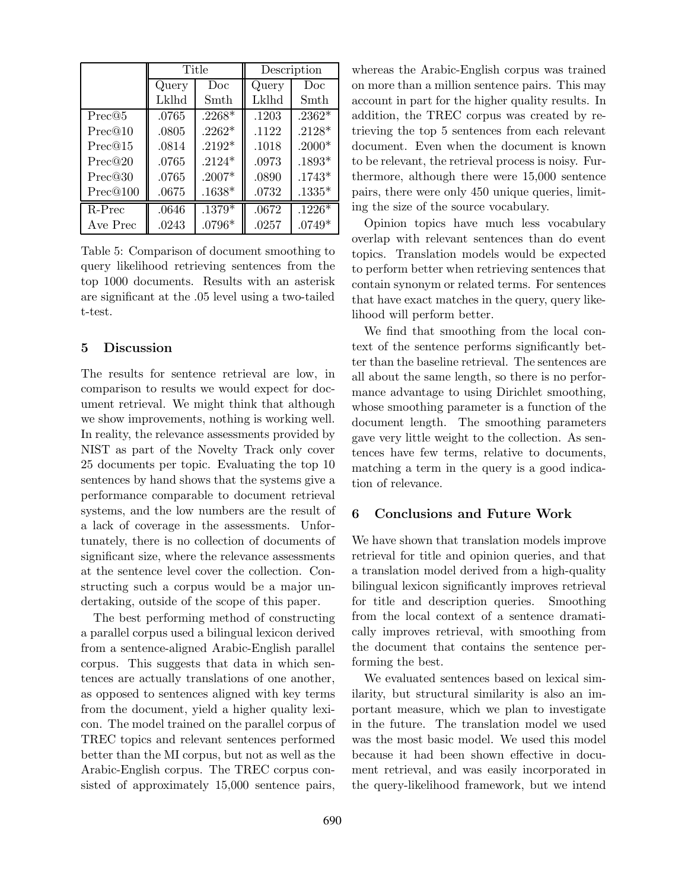|          | Title |          | Description |                |
|----------|-------|----------|-------------|----------------|
|          | Query | Doc      | Query       | Doc            |
|          | Lklhd | Smth     | Lklhd       | Smth           |
| Prec@5   | .0765 | $.2268*$ | .1203       | $.2362*$       |
| Prec@10  | .0805 | $.2262*$ | .1122       | $.2128*$       |
| Prec@15  | .0814 | $.2192*$ | .1018       | $.2000*$       |
| Prec@20  | .0765 | $.2124*$ | .0973       | $.1893^{\ast}$ |
| Prec@30  | .0765 | $.2007*$ | .0890       | $.1743*$       |
| Prec@100 | .0675 | $.1638*$ | .0732       | $.1335*$       |
| R-Prec   | .0646 | $.1379*$ | .0672       | $.1226*$       |
| Ave Prec | .0243 | $.0796*$ | .0257       | $.0749*$       |

Table 5: Comparison of document smoothing to query likelihood retrieving sentences from the top 1000 documents. Results with an asterisk are significant at the .05 level using a two-tailed t-test.

## 5 Discussion

The results for sentence retrieval are low, in comparison to results we would expect for document retrieval. We might think that although we show improvements, nothing is working well. In reality, the relevance assessments provided by NIST as part of the Novelty Track only cover 25 documents per topic. Evaluating the top 10 sentences by hand shows that the systems give a performance comparable to document retrieval systems, and the low numbers are the result of a lack of coverage in the assessments. Unfortunately, there is no collection of documents of significant size, where the relevance assessments at the sentence level cover the collection. Constructing such a corpus would be a major undertaking, outside of the scope of this paper.

The best performing method of constructing a parallel corpus used a bilingual lexicon derived from a sentence-aligned Arabic-English parallel corpus. This suggests that data in which sentences are actually translations of one another, as opposed to sentences aligned with key terms from the document, yield a higher quality lexicon. The model trained on the parallel corpus of TREC topics and relevant sentences performed better than the MI corpus, but not as well as the Arabic-English corpus. The TREC corpus consisted of approximately 15,000 sentence pairs,

whereas the Arabic-English corpus was trained on more than a million sentence pairs. This may account in part for the higher quality results. In addition, the TREC corpus was created by retrieving the top 5 sentences from each relevant document. Even when the document is known to be relevant, the retrieval process is noisy. Furthermore, although there were 15,000 sentence pairs, there were only 450 unique queries, limiting the size of the source vocabulary.

Opinion topics have much less vocabulary overlap with relevant sentences than do event topics. Translation models would be expected to perform better when retrieving sentences that contain synonym or related terms. For sentences that have exact matches in the query, query likelihood will perform better.

We find that smoothing from the local context of the sentence performs significantly better than the baseline retrieval. The sentences are all about the same length, so there is no performance advantage to using Dirichlet smoothing, whose smoothing parameter is a function of the document length. The smoothing parameters gave very little weight to the collection. As sentences have few terms, relative to documents, matching a term in the query is a good indication of relevance.

# 6 Conclusions and Future Work

We have shown that translation models improve retrieval for title and opinion queries, and that a translation model derived from a high-quality bilingual lexicon significantly improves retrieval for title and description queries. Smoothing from the local context of a sentence dramatically improves retrieval, with smoothing from the document that contains the sentence performing the best.

We evaluated sentences based on lexical similarity, but structural similarity is also an important measure, which we plan to investigate in the future. The translation model we used was the most basic model. We used this model because it had been shown effective in document retrieval, and was easily incorporated in the query-likelihood framework, but we intend